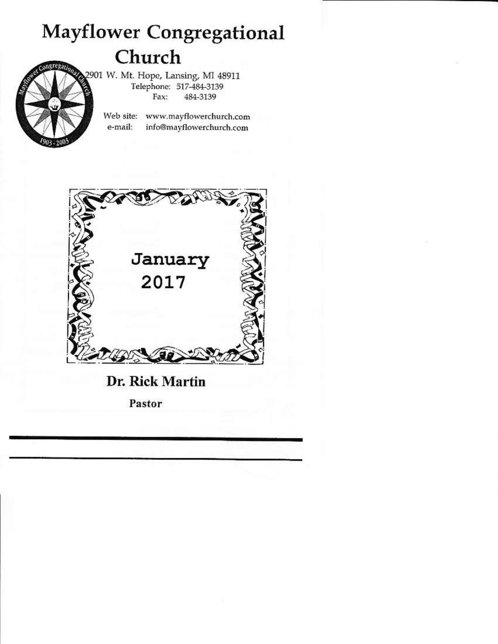## **Mayflower Congregational** Church



2901 W. Mt. Hope, Lansing, MI 48911 Telephone: 517-484-3139 Fax: 484-3139

> Web site: www.mayflowerchurch.com e-mail: info@mayflowerchurch.com



Pastor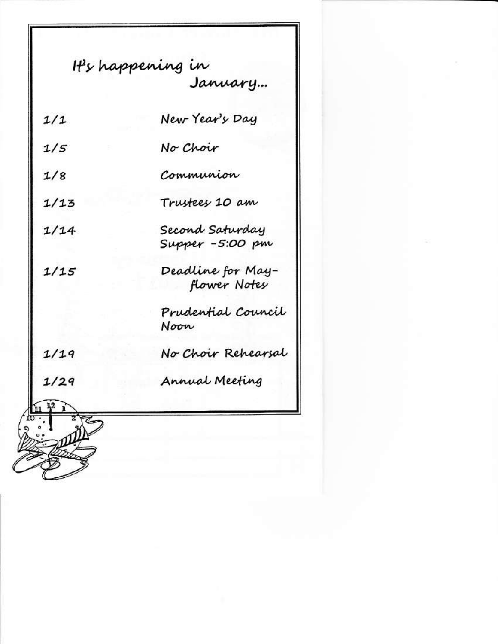|      | It's happening in<br>January        |
|------|-------------------------------------|
|      |                                     |
| 1/1  | New Year's Day                      |
| 1/5  | No Choir                            |
| 1/8  | Communion                           |
| 1/13 | Trustees 10 am                      |
| 1/14 |                                     |
|      | Second Saturday<br>Supper -5:00 pm  |
| 1/15 | -Deadline for May<br>- flower Notes |
|      |                                     |
|      | Prudential Council                  |
|      | Noon                                |
| 1/19 | No Choir Rehearsal                  |
| 1/29 | Annual Meeting                      |
|      |                                     |
|      |                                     |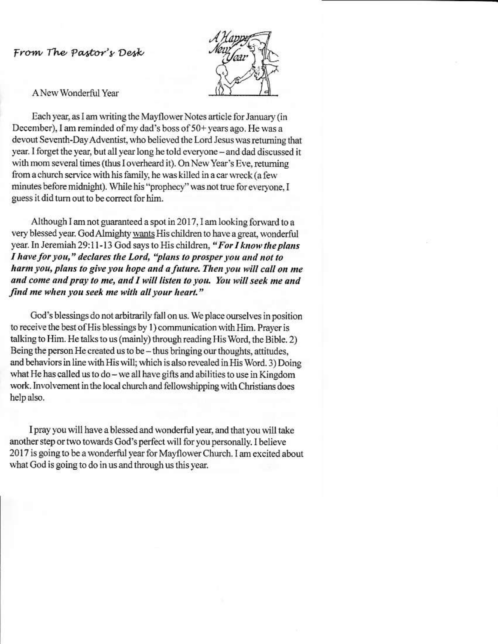From The Pastor's Desk



A New Wonderful Year

Each year, as I am writing the Mayflower Notes article for January (in December), I am reminded of my dad's boss of 50+ years ago. He was a devout Seventh-Day Adventist, who believed the Lord Jesus was returning that year. I forget the year, but all year long he told everyone - and dad discussed it with mom several times (thus I overheard it). On New Year's Eve, returning from a church service with his family, he was killed in a car wreck (a few minutes before midnight). While his "prophecy" was not true for everyone, I guess it did turn out to be correct for him.

Although I am not guaranteed a spot in 2017, I am looking forward to a very blessed year. God Almighty wants His children to have a great, wonderful year. In Jeremiah 29:11-13 God says to His children, "For I know the plans I have for you," declares the Lord, "plans to prosper you and not to harm you, plans to give you hope and a future. Then you will call on me and come and pray to me, and I will listen to you. You will seek me and find me when you seek me with all your heart."

God's blessings do not arbitrarily fall on us. We place ourselves in position to receive the best of His blessings by 1) communication with Him. Prayer is talking to Him. He talks to us (mainly) through reading His Word, the Bible. 2) Being the person He created us to be – thus bringing our thoughts, attitudes, and behaviors in line with His will; which is also revealed in His Word. 3) Doing what He has called us to do - we all have gifts and abilities to use in Kingdom work. Involvement in the local church and fellowshipping with Christians does help also.

I pray you will have a blessed and wonderful year, and that you will take another step or two towards God's perfect will for you personally. I believe 2017 is going to be a wonderful year for Mayflower Church. I am excited about what God is going to do in us and through us this year.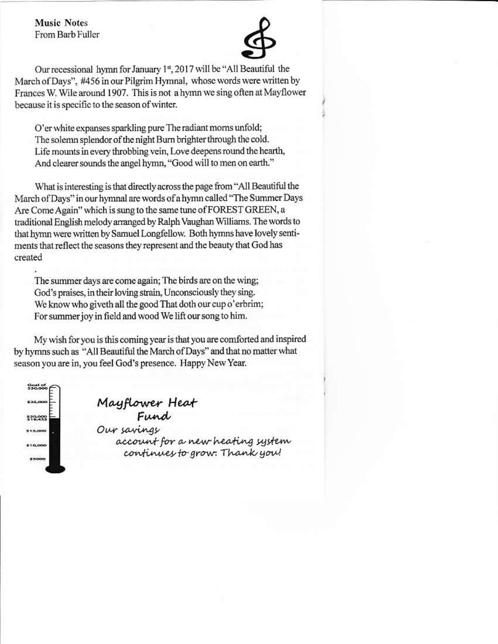**Music Notes** From Barb Fuller



Our recessional hymn for January 1st, 2017 will be "All Beautiful the March of Days", #456 in our Pilgrim Hymnal, whose words were written by Frances W. Wile around 1907. This is not a hymn we sing often at Mayflower because it is specific to the season of winter.

O'er white expanses sparkling pure The radiant morns unfold; The solemn splendor of the night Burn brighter through the cold. Life mounts in every throbbing vein, Love deepens round the hearth, And clearer sounds the angel hymn, "Good will to men on earth."

What is interesting is that directly across the page from "All Beautiful the March of Days" in our hymnal are words of a hymn called "The Summer Days Are Come Again" which is sung to the same tune of FOREST GREEN, a traditional English melody arranged by Ralph Vaughan Williams. The words to that hymn were written by Samuel Longfellow. Both hymns have lovely sentiments that reflect the seasons they represent and the beauty that God has created

The summer days are come again; The birds are on the wing; God's praises, in their loving strain, Unconsciously they sing. We know who giveth all the good That doth our cup o'erbrim; For summer joy in field and wood We lift our song to him.

My wish for you is this coming year is that you are comforted and inspired by hymns such as "All Beautiful the March of Days" and that no matter what season you are in, you feel God's presence. Happy New Year.



Mayflower Heat<br>Fund<br>Our savings account for a new heating system continues to grow. Thank you!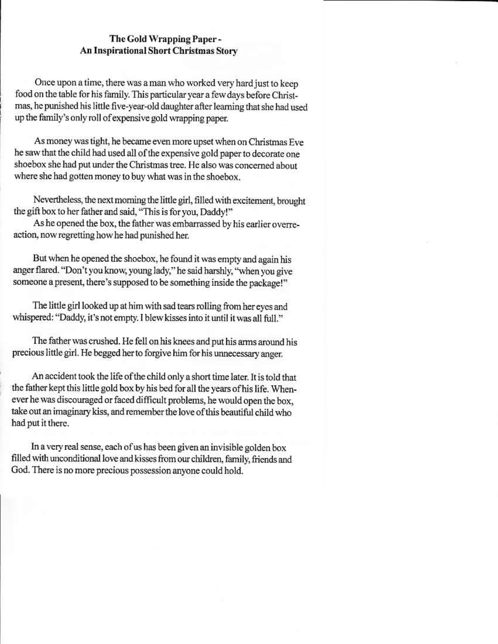## The Gold Wrapping Paper -An Inspirational Short Christmas Story

Once upon a time, there was a man who worked very hard just to keep food on the table for his family. This particular year a few days before Christmas, he punished his little five-year-old daughter after learning that she had used up the family's only roll of expensive gold wrapping paper.

As money was tight, he became even more upset when on Christmas Eve he saw that the child had used all of the expensive gold paper to decorate one shoebox she had put under the Christmas tree. He also was concerned about where she had gotten money to buy what was in the shoebox.

Nevertheless, the next morning the little girl, filled with excitement, brought the gift box to her father and said, "This is for you, Daddy!"

As he opened the box, the father was embarrassed by his earlier overreaction, now regretting how he had punished her.

But when he opened the shoebox, he found it was empty and again his anger flared. "Don't you know, young lady," he said harshly, "when you give someone a present, there's supposed to be something inside the package!"

The little girl looked up at him with sad tears rolling from her eyes and whispered: "Daddy, it's not empty. I blew kisses into it until it was all full."

The father was crushed. He fell on his knees and put his arms around his precious little girl. He begged her to forgive him for his unnecessary anger.

An accident took the life of the child only a short time later. It is told that the father kept this little gold box by his bed for all the years of his life. Whenever he was discouraged or faced difficult problems, he would open the box, take out an imaginary kiss, and remember the love of this beautiful child who had put it there.

In a very real sense, each of us has been given an invisible golden box filled with unconditional love and kisses from our children, family, friends and God. There is no more precious possession anyone could hold.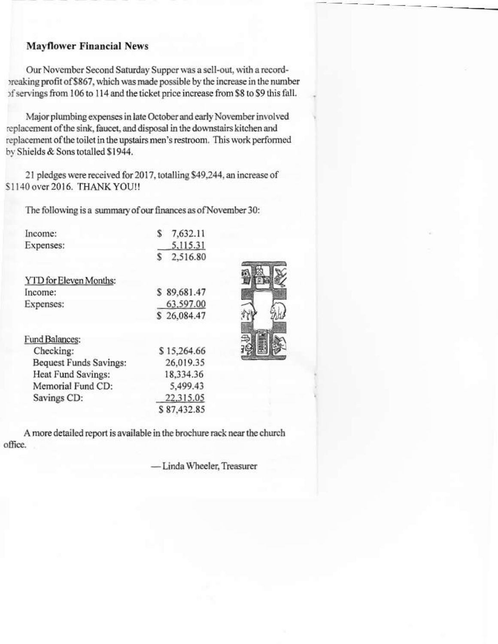## **Mayflower Financial News**

Our November Second Saturday Supper was a sell-out, with a recordpreaking profit of \$867, which was made possible by the increase in the number of servings from 106 to 114 and the ticket price increase from \$8 to \$9 this fall.

Major plumbing expenses in late October and early November involved replacement of the sink, faucet, and disposal in the downstairs kitchen and replacement of the toilet in the upstairs men's restroom. This work performed by Shields & Sons totalled \$1944.

21 pledges were received for 2017, totalling \$49,244, an increase of \$1140 over 2016. THANK YOU !!

The following is a summary of our finances as of November 30:

| Income:                       | S<br>7,632.11 |  |
|-------------------------------|---------------|--|
| Expenses:                     | 5,115.31      |  |
|                               | 2,516.80      |  |
| YTD for Eleven Months:        |               |  |
| Income:                       | \$89,681.47   |  |
| Expenses:                     | 63,597.00     |  |
|                               | \$26,084.47   |  |
| Fund Balances:                |               |  |
| Checking:                     | \$15,264.66   |  |
| <b>Bequest Funds Savings:</b> | 26.019.35     |  |
| Heat Fund Savings:            | 18,334.36     |  |
| Memorial Fund CD:             | 5,499.43      |  |
| Savings CD:                   | 22.315.05     |  |
|                               | \$87,432.85   |  |
|                               |               |  |

A more detailed report is available in the brochure rack near the church office.

- Linda Wheeler, Treasurer